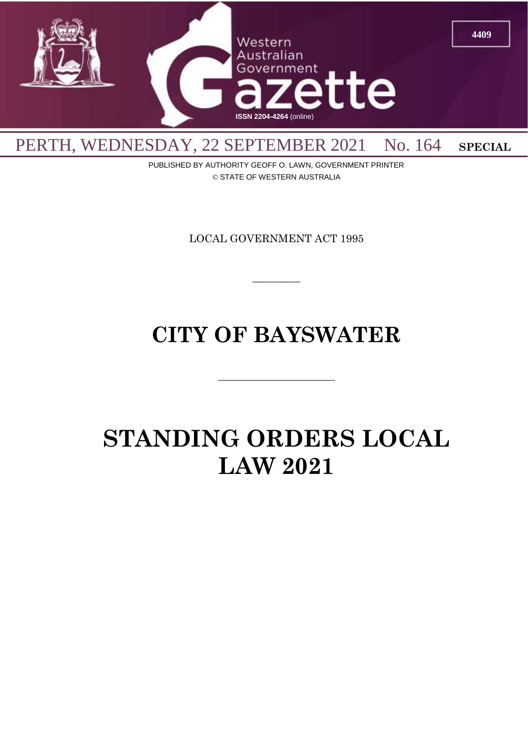

PUBLISHED BY AUTHORITY GEOFF O. LAWN, GOVERNMENT PRINTER © STATE OF WESTERN AUSTRALIA

LOCAL GOVERNMENT ACT 1995

 $\overline{\phantom{a}}$ 

# **CITY OF BAYSWATER**

 $\overline{\phantom{a}}$  , and the contract of the contract of the contract of the contract of the contract of the contract of the contract of the contract of the contract of the contract of the contract of the contract of the contrac

# **STANDING ORDERS LOCAL LAW 2021**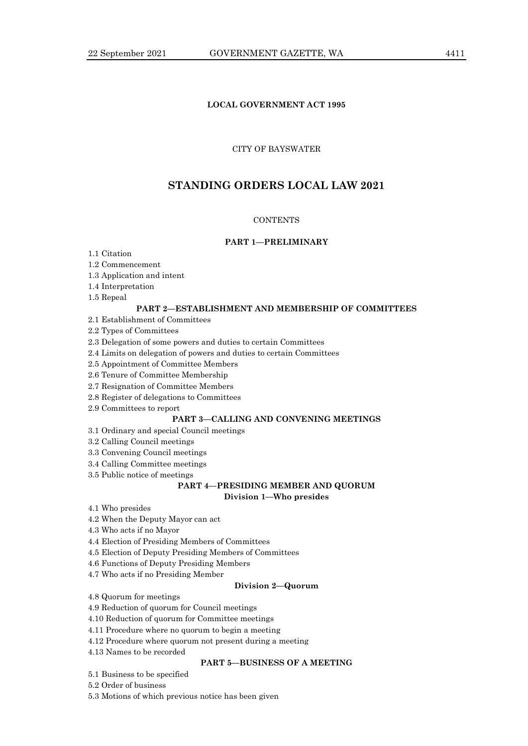# **LOCAL GOVERNMENT ACT 1995**

# CITY OF BAYSWATER

# **STANDING ORDERS LOCAL LAW 2021**

# **CONTENTS**

# **PART 1—PRELIMINARY**

- 1.1 Citation
- 1.2 Commencement
- 1.3 Application and intent
- 1.4 Interpretation
- 1.5 Repeal

# **PART 2—ESTABLISHMENT AND MEMBERSHIP OF COMMITTEES**

2.1 Establishment of Committees

2.2 Types of Committees

2.3 Delegation of some powers and duties to certain Committees

- 2.4 Limits on delegation of powers and duties to certain Committees
- 2.5 Appointment of Committee Members
- 2.6 Tenure of Committee Membership
- 2.7 Resignation of Committee Members
- 2.8 Register of delegations to Committees
- 2.9 Committees to report

## **PART 3—CALLING AND CONVENING MEETINGS**

- 3.1 Ordinary and special Council meetings
- 3.2 Calling Council meetings
- 3.3 Convening Council meetings
- 3.4 Calling Committee meetings
- 3.5 Public notice of meetings

# **PART 4—PRESIDING MEMBER AND QUORUM Division 1—Who presides**

- 4.1 Who presides
- 4.2 When the Deputy Mayor can act
- 4.3 Who acts if no Mayor
- 4.4 Election of Presiding Members of Committees
- 4.5 Election of Deputy Presiding Members of Committees
- 4.6 Functions of Deputy Presiding Members
- 4.7 Who acts if no Presiding Member

### **Division 2—Quorum**

4.8 Quorum for meetings

- 4.9 Reduction of quorum for Council meetings
- 4.10 Reduction of quorum for Committee meetings
- 4.11 Procedure where no quorum to begin a meeting
- 4.12 Procedure where quorum not present during a meeting
- 4.13 Names to be recorded

## **PART 5—BUSINESS OF A MEETING**

5.1 Business to be specified

5.2 Order of business

5.3 Motions of which previous notice has been given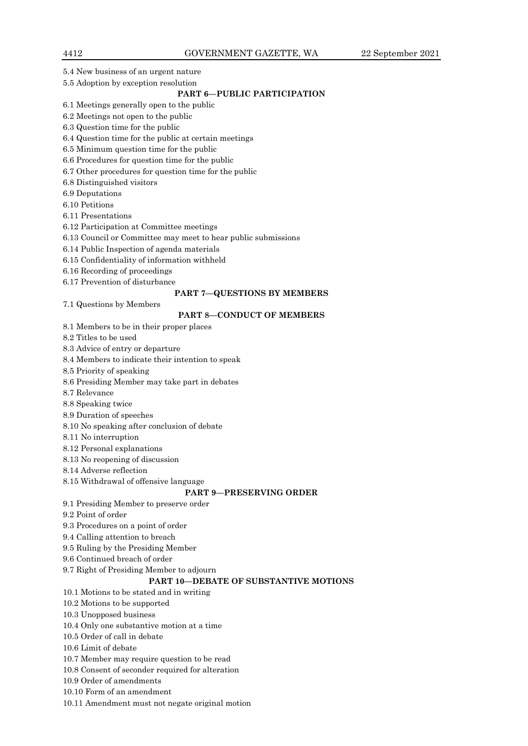- 5.4 New business of an urgent nature
- 5.5 Adoption by exception resolution

# **PART 6—PUBLIC PARTICIPATION**

- 6.1 Meetings generally open to the public
- 6.2 Meetings not open to the public
- 6.3 Question time for the public
- 6.4 Question time for the public at certain meetings
- 6.5 Minimum question time for the public
- 6.6 Procedures for question time for the public
- 6.7 Other procedures for question time for the public
- 6.8 Distinguished visitors
- 6.9 Deputations
- 6.10 Petitions
- 6.11 Presentations
- 6.12 Participation at Committee meetings
- 6.13 Council or Committee may meet to hear public submissions
- 6.14 Public Inspection of agenda materials
- 6.15 Confidentiality of information withheld
- 6.16 Recording of proceedings
- 6.17 Prevention of disturbance

## **PART 7—QUESTIONS BY MEMBERS**

7.1 Questions by Members

## **PART 8—CONDUCT OF MEMBERS**

- 8.1 Members to be in their proper places
- 8.2 Titles to be used
- 8.3 Advice of entry or departure
- 8.4 Members to indicate their intention to speak
- 8.5 Priority of speaking
- 8.6 Presiding Member may take part in debates
- 8.7 Relevance
- 8.8 Speaking twice
- 8.9 Duration of speeches
- 8.10 No speaking after conclusion of debate
- 8.11 No interruption
- 8.12 Personal explanations
- 8.13 No reopening of discussion
- 8.14 Adverse reflection
- 8.15 Withdrawal of offensive language

### **PART 9—PRESERVING ORDER**

- 9.1 Presiding Member to preserve order
- 9.2 Point of order
- 9.3 Procedures on a point of order
- 9.4 Calling attention to breach
- 9.5 Ruling by the Presiding Member
- 9.6 Continued breach of order
- 9.7 Right of Presiding Member to adjourn

# **PART 10—DEBATE OF SUBSTANTIVE MOTIONS**

- 10.1 Motions to be stated and in writing
- 10.2 Motions to be supported
- 10.3 Unopposed business
- 10.4 Only one substantive motion at a time
- 10.5 Order of call in debate
- 10.6 Limit of debate
- 10.7 Member may require question to be read
- 10.8 Consent of seconder required for alteration
- 10.9 Order of amendments
- 10.10 Form of an amendment
- 10.11 Amendment must not negate original motion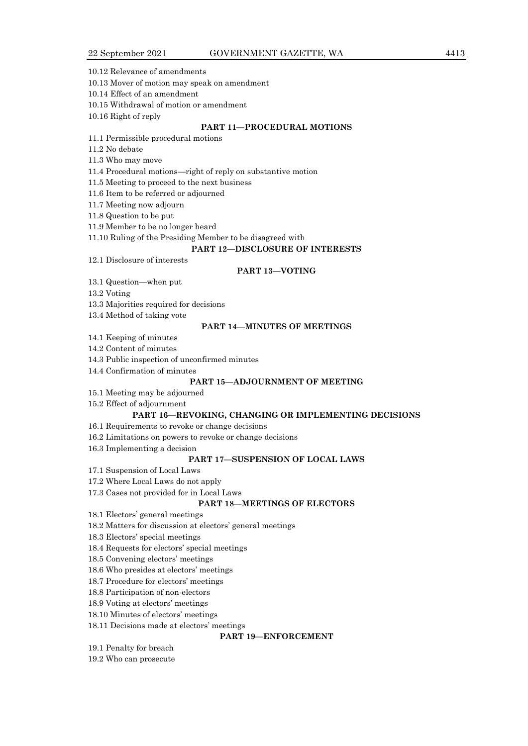10.12 Relevance of amendments

10.13 Mover of motion may speak on amendment

10.14 Effect of an amendment

10.15 Withdrawal of motion or amendment

10.16 Right of reply

# **PART 11—PROCEDURAL MOTIONS**

11.1 Permissible procedural motions

11.2 No debate

11.3 Who may move

11.4 Procedural motions—right of reply on substantive motion

11.5 Meeting to proceed to the next business

11.6 Item to be referred or adjourned

11.7 Meeting now adjourn

11.8 Question to be put

11.9 Member to be no longer heard

11.10 Ruling of the Presiding Member to be disagreed with

#### **PART 12—DISCLOSURE OF INTERESTS**

12.1 Disclosure of interests

#### **PART 13—VOTING**

13.1 Question—when put

13.2 Voting

13.3 Majorities required for decisions

13.4 Method of taking vote

# **PART 14—MINUTES OF MEETINGS**

14.1 Keeping of minutes

14.2 Content of minutes

14.3 Public inspection of unconfirmed minutes

14.4 Confirmation of minutes

# **PART 15—ADJOURNMENT OF MEETING**

15.1 Meeting may be adjourned

15.2 Effect of adjournment

#### **PART 16—REVOKING, CHANGING OR IMPLEMENTING DECISIONS**

16.1 Requirements to revoke or change decisions

16.2 Limitations on powers to revoke or change decisions

16.3 Implementing a decision

## **PART 17—SUSPENSION OF LOCAL LAWS**

17.1 Suspension of Local Laws

17.2 Where Local Laws do not apply

17.3 Cases not provided for in Local Laws

# **PART 18—MEETINGS OF ELECTORS**

18.1 Electors' general meetings

18.2 Matters for discussion at electors' general meetings

18.3 Electors' special meetings

18.4 Requests for electors' special meetings

18.5 Convening electors' meetings

18.6 Who presides at electors' meetings

18.7 Procedure for electors' meetings

18.8 Participation of non-electors

18.9 Voting at electors' meetings

18.10 Minutes of electors' meetings

18.11 Decisions made at electors' meetings

# **PART 19—ENFORCEMENT**

19.1 Penalty for breach

19.2 Who can prosecute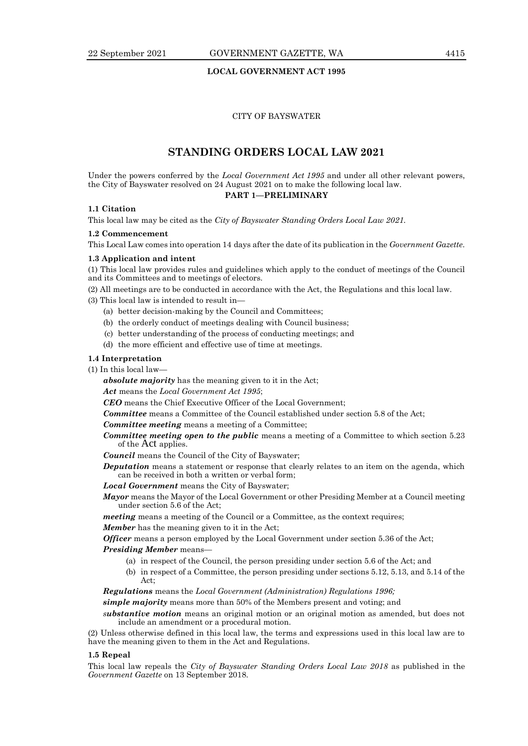# **LOCAL GOVERNMENT ACT 1995**

## CITY OF BAYSWATER

# **STANDING ORDERS LOCAL LAW 2021**

Under the powers conferred by the *Local Government Act 1995* and under all other relevant powers, the City of Bayswater resolved on 24 August 2021 on to make the following local law. **PART 1—PRELIMINARY**

## **1.1 Citation**

This local law may be cited as the *City of Bayswater Standing Orders Local Law 2021.*

#### **1.2 Commencement**

This Local Law comes into operation 14 days after the date of its publication in the *Government Gazette*.

#### **1.3 Application and intent**

(1) This local law provides rules and guidelines which apply to the conduct of meetings of the Council and its Committees and to meetings of electors.

(2) All meetings are to be conducted in accordance with the Act, the Regulations and this local law.

(3) This local law is intended to result in—

- (a) better decision-making by the Council and Committees;
- (b) the orderly conduct of meetings dealing with Council business;
- (c) better understanding of the process of conducting meetings; and
- (d) the more efficient and effective use of time at meetings.

#### **1.4 Interpretation**

(1) In this local law—

*absolute majority* has the meaning given to it in the Act;

*Act* means the *Local Government Act 1995*;

*CEO* means the Chief Executive Officer of the Local Government;

*Committee* means a Committee of the Council established under section 5.8 of the Act;

*Committee meeting* means a meeting of a Committee;

- *Committee meeting open to the public* means a meeting of a Committee to which section 5.23 of the Act applies.
- *Council* means the Council of the City of Bayswater;
- **Deputation** means a statement or response that clearly relates to an item on the agenda, which can be received in both a written or verbal form;
- *Local Government* means the City of Bayswater;
- *Mayor* means the Mayor of the Local Government or other Presiding Member at a Council meeting under section 5.6 of the Act;

*meeting* means a meeting of the Council or a Committee, as the context requires;

*Member* has the meaning given to it in the Act;

*Officer* means a person employed by the Local Government under section 5.36 of the Act;

# *Presiding Member* means—

- (a) in respect of the Council, the person presiding under section 5.6 of the Act; and
- (b) in respect of a Committee, the person presiding under sections 5.12, 5.13, and 5.14 of the Act;

# *Regulations* means the *Local Government (Administration) Regulations 1996;*

*simple majority* means more than 50% of the Members present and voting; and

*substantive motion* means an original motion or an original motion as amended, but does not include an amendment or a procedural motion.

(2) Unless otherwise defined in this local law, the terms and expressions used in this local law are to have the meaning given to them in the Act and Regulations.

#### **1.5 Repeal**

This local law repeals the *City of Bayswater Standing Orders Local Law 2018* as published in the *Government Gazette* on 13 September 2018.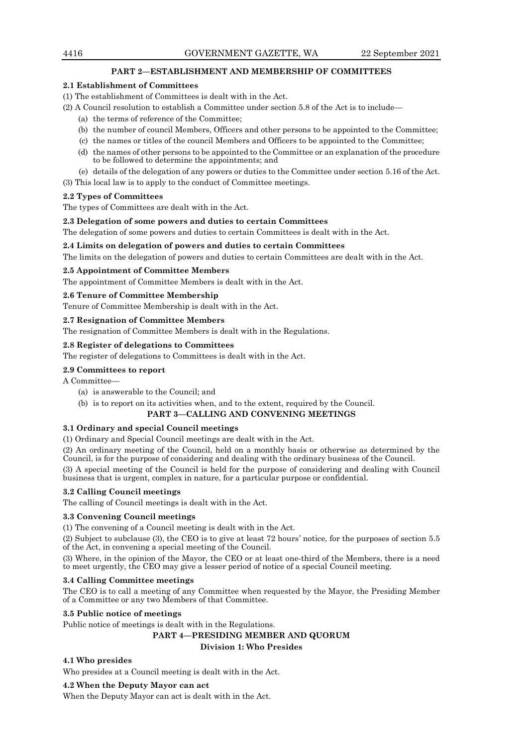# **PART 2—ESTABLISHMENT AND MEMBERSHIP OF COMMITTEES**

## **2.1 Establishment of Committees**

- (1) The establishment of Committees is dealt with in the Act.
- (2) A Council resolution to establish a Committee under section 5.8 of the Act is to include—
	- (a) the terms of reference of the Committee;
	- (b) the number of council Members, Officers and other persons to be appointed to the Committee;
	- (c) the names or titles of the council Members and Officers to be appointed to the Committee;
	- (d) the names of other persons to be appointed to the Committee or an explanation of the procedure to be followed to determine the appointments; and
	- (e) details of the delegation of any powers or duties to the Committee under section 5.16 of the Act.

(3) This local law is to apply to the conduct of Committee meetings.

## **2.2 Types of Committees**

The types of Committees are dealt with in the Act.

## **2.3 Delegation of some powers and duties to certain Committees**

The delegation of some powers and duties to certain Committees is dealt with in the Act.

## **2.4 Limits on delegation of powers and duties to certain Committees**

The limits on the delegation of powers and duties to certain Committees are dealt with in the Act.

## **2.5 Appointment of Committee Members**

The appointment of Committee Members is dealt with in the Act.

## **2.6 Tenure of Committee Membership**

Tenure of Committee Membership is dealt with in the Act.

## **2.7 Resignation of Committee Members**

The resignation of Committee Members is dealt with in the Regulations.

## **2.8 Register of delegations to Committees**

The register of delegations to Committees is dealt with in the Act.

# **2.9 Committees to report**

A Committee—

- (a) is answerable to the Council; and
- (b) is to report on its activities when, and to the extent, required by the Council.

# **PART 3—CALLING AND CONVENING MEETINGS**

#### **3.1 Ordinary and special Council meetings**

(1) Ordinary and Special Council meetings are dealt with in the Act.

(2) An ordinary meeting of the Council, held on a monthly basis or otherwise as determined by the Council, is for the purpose of considering and dealing with the ordinary business of the Council.

(3) A special meeting of the Council is held for the purpose of considering and dealing with Council business that is urgent, complex in nature, for a particular purpose or confidential.

# **3.2 Calling Council meetings**

The calling of Council meetings is dealt with in the Act.

## **3.3 Convening Council meetings**

(1) The convening of a Council meeting is dealt with in the Act.

(2) Subject to subclause (3), the CEO is to give at least 72 hours' notice, for the purposes of section 5.5 of the Act, in convening a special meeting of the Council.

(3) Where, in the opinion of the Mayor, the CEO or at least one-third of the Members, there is a need to meet urgently, the CEO may give a lesser period of notice of a special Council meeting.

## **3.4 Calling Committee meetings**

The CEO is to call a meeting of any Committee when requested by the Mayor, the Presiding Member of a Committee or any two Members of that Committee.

## **3.5 Public notice of meetings**

Public notice of meetings is dealt with in the Regulations.

# **PART 4—PRESIDING MEMBER AND QUORUM**

**Division 1: Who Presides**

# **4.1 Who presides**

Who presides at a Council meeting is dealt with in the Act.

#### **4.2 When the Deputy Mayor can act**

When the Deputy Mayor can act is dealt with in the Act.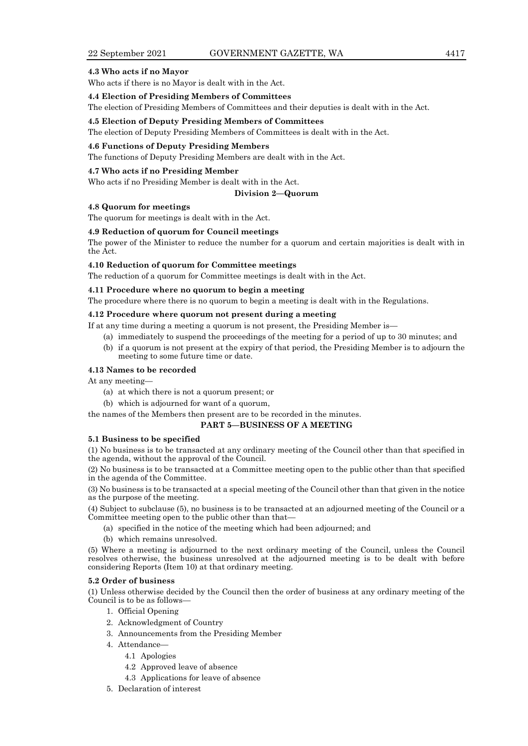### **4.3 Who acts if no Mayor**

Who acts if there is no Mayor is dealt with in the Act.

#### **4.4 Election of Presiding Members of Committees**

The election of Presiding Members of Committees and their deputies is dealt with in the Act.

#### **4.5 Election of Deputy Presiding Members of Committees**

The election of Deputy Presiding Members of Committees is dealt with in the Act.

#### **4.6 Functions of Deputy Presiding Members**

The functions of Deputy Presiding Members are dealt with in the Act.

#### **4.7 Who acts if no Presiding Member**

Who acts if no Presiding Member is dealt with in the Act.

#### **Division 2—Quorum**

## **4.8 Quorum for meetings**

The quorum for meetings is dealt with in the Act.

#### **4.9 Reduction of quorum for Council meetings**

The power of the Minister to reduce the number for a quorum and certain majorities is dealt with in the Act.

## **4.10 Reduction of quorum for Committee meetings**

The reduction of a quorum for Committee meetings is dealt with in the Act.

## **4.11 Procedure where no quorum to begin a meeting**

The procedure where there is no quorum to begin a meeting is dealt with in the Regulations.

## **4.12 Procedure where quorum not present during a meeting**

If at any time during a meeting a quorum is not present, the Presiding Member is—

(a) immediately to suspend the proceedings of the meeting for a period of up to 30 minutes; and

(b) if a quorum is not present at the expiry of that period, the Presiding Member is to adjourn the meeting to some future time or date.

#### **4.13 Names to be recorded**

At any meeting—

- (a) at which there is not a quorum present; or
- (b) which is adjourned for want of a quorum,

the names of the Members then present are to be recorded in the minutes.

## **PART 5—BUSINESS OF A MEETING**

## **5.1 Business to be specified**

(1) No business is to be transacted at any ordinary meeting of the Council other than that specified in the agenda, without the approval of the Council.

(2) No business is to be transacted at a Committee meeting open to the public other than that specified in the agenda of the Committee.

(3) No business is to be transacted at a special meeting of the Council other than that given in the notice as the purpose of the meeting.

(4) Subject to subclause (5), no business is to be transacted at an adjourned meeting of the Council or a Committee meeting open to the public other than that—

- (a) specified in the notice of the meeting which had been adjourned; and
- (b) which remains unresolved.

(5) Where a meeting is adjourned to the next ordinary meeting of the Council, unless the Council resolves otherwise, the business unresolved at the adjourned meeting is to be dealt with before considering Reports (Item 10) at that ordinary meeting.

#### **5.2 Order of business**

(1) Unless otherwise decided by the Council then the order of business at any ordinary meeting of the Council is to be as follows—

- 1. Official Opening
- 2. Acknowledgment of Country
- 3. Announcements from the Presiding Member
- 4. Attendance—
	- 4.1 Apologies
	- 4.2 Approved leave of absence
	- 4.3 Applications for leave of absence
- 5. Declaration of interest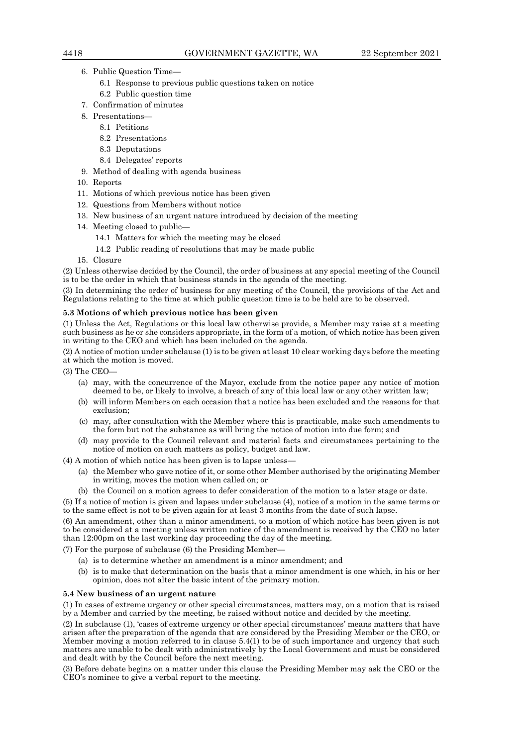- 6. Public Question Time—
	- 6.1 Response to previous public questions taken on notice
	- 6.2 Public question time
- 7. Confirmation of minutes
- 8. Presentations—
	- 8.1 Petitions
	- 8.2 Presentations
	- 8.3 Deputations
	- 8.4 Delegates' reports
- 9. Method of dealing with agenda business
- 10. Reports
- 11. Motions of which previous notice has been given
- 12. Questions from Members without notice
- 13. New business of an urgent nature introduced by decision of the meeting
- 14. Meeting closed to public—
	- 14.1 Matters for which the meeting may be closed
	- 14.2 Public reading of resolutions that may be made public

15. Closure

(2) Unless otherwise decided by the Council, the order of business at any special meeting of the Council is to be the order in which that business stands in the agenda of the meeting.

(3) In determining the order of business for any meeting of the Council, the provisions of the Act and Regulations relating to the time at which public question time is to be held are to be observed.

#### **5.3 Motions of which previous notice has been given**

(1) Unless the Act, Regulations or this local law otherwise provide, a Member may raise at a meeting such business as he or she considers appropriate, in the form of a motion, of which notice has been given in writing to the CEO and which has been included on the agenda.

(2) A notice of motion under subclause (1) is to be given at least 10 clear working days before the meeting at which the motion is moved.

 $(3)$  The CEO-

- (a) may, with the concurrence of the Mayor, exclude from the notice paper any notice of motion deemed to be, or likely to involve, a breach of any of this local law or any other written law;
- (b) will inform Members on each occasion that a notice has been excluded and the reasons for that exclusion;
- (c) may, after consultation with the Member where this is practicable, make such amendments to the form but not the substance as will bring the notice of motion into due form; and
- (d) may provide to the Council relevant and material facts and circumstances pertaining to the notice of motion on such matters as policy, budget and law.

(4) A motion of which notice has been given is to lapse unless—

- (a) the Member who gave notice of it, or some other Member authorised by the originating Member in writing, moves the motion when called on; or
- (b) the Council on a motion agrees to defer consideration of the motion to a later stage or date.

(5) If a notice of motion is given and lapses under subclause (4), notice of a motion in the same terms or to the same effect is not to be given again for at least 3 months from the date of such lapse.

(6) An amendment, other than a minor amendment, to a motion of which notice has been given is not to be considered at a meeting unless written notice of the amendment is received by the CEO no later than 12:00pm on the last working day proceeding the day of the meeting.

(7) For the purpose of subclause (6) the Presiding Member—

- (a) is to determine whether an amendment is a minor amendment; and
- (b) is to make that determination on the basis that a minor amendment is one which, in his or her opinion, does not alter the basic intent of the primary motion.

## **5.4 New business of an urgent nature**

(1) In cases of extreme urgency or other special circumstances, matters may, on a motion that is raised by a Member and carried by the meeting, be raised without notice and decided by the meeting.

(2) In subclause (1), 'cases of extreme urgency or other special circumstances' means matters that have arisen after the preparation of the agenda that are considered by the Presiding Member or the CEO, or Member moving a motion referred to in clause 5.4(1) to be of such importance and urgency that such matters are unable to be dealt with administratively by the Local Government and must be considered and dealt with by the Council before the next meeting.

(3) Before debate begins on a matter under this clause the Presiding Member may ask the CEO or the CEO's nominee to give a verbal report to the meeting.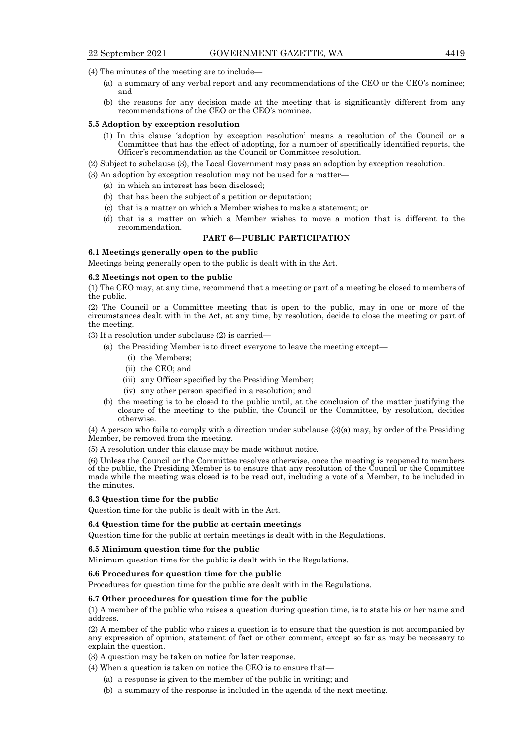(4) The minutes of the meeting are to include—

- (a) a summary of any verbal report and any recommendations of the CEO or the CEO's nominee; and
- (b) the reasons for any decision made at the meeting that is significantly different from any recommendations of the CEO or the CEO's nominee.

#### **5.5 Adoption by exception resolution**

- (1) In this clause 'adoption by exception resolution' means a resolution of the Council or a Committee that has the effect of adopting, for a number of specifically identified reports, the Officer's recommendation as the Council or Committee resolution.
- (2) Subject to subclause (3), the Local Government may pass an adoption by exception resolution.
- (3) An adoption by exception resolution may not be used for a matter—
	- (a) in which an interest has been disclosed;
	- (b) that has been the subject of a petition or deputation;
	- (c) that is a matter on which a Member wishes to make a statement; or
	- (d) that is a matter on which a Member wishes to move a motion that is different to the recommendation.

## **PART 6—PUBLIC PARTICIPATION**

### **6.1 Meetings generally open to the public**

Meetings being generally open to the public is dealt with in the Act.

#### **6.2 Meetings not open to the public**

(1) The CEO may, at any time, recommend that a meeting or part of a meeting be closed to members of the public.

(2) The Council or a Committee meeting that is open to the public, may in one or more of the circumstances dealt with in the Act, at any time, by resolution, decide to close the meeting or part of the meeting.

(3) If a resolution under subclause (2) is carried—

- (a) the Presiding Member is to direct everyone to leave the meeting except—
	- (i) the Members;
	- (ii) the CEO; and
	- (iii) any Officer specified by the Presiding Member;
	- (iv) any other person specified in a resolution; and
- (b) the meeting is to be closed to the public until, at the conclusion of the matter justifying the closure of the meeting to the public, the Council or the Committee, by resolution, decides otherwise.

(4) A person who fails to comply with a direction under subclause (3)(a) may, by order of the Presiding Member, be removed from the meeting.

(5) A resolution under this clause may be made without notice.

(6) Unless the Council or the Committee resolves otherwise, once the meeting is reopened to members of the public, the Presiding Member is to ensure that any resolution of the Council or the Committee made while the meeting was closed is to be read out, including a vote of a Member, to be included in the minutes.

## **6.3 Question time for the public**

Question time for the public is dealt with in the Act.

#### **6.4 Question time for the public at certain meetings**

Question time for the public at certain meetings is dealt with in the Regulations.

#### **6.5 Minimum question time for the public**

Minimum question time for the public is dealt with in the Regulations.

### **6.6 Procedures for question time for the public**

Procedures for question time for the public are dealt with in the Regulations.

## **6.7 Other procedures for question time for the public**

(1) A member of the public who raises a question during question time, is to state his or her name and address.

(2) A member of the public who raises a question is to ensure that the question is not accompanied by any expression of opinion, statement of fact or other comment, except so far as may be necessary to explain the question.

(3) A question may be taken on notice for later response.

- (4) When a question is taken on notice the CEO is to ensure that—
	- (a) a response is given to the member of the public in writing; and
	- (b) a summary of the response is included in the agenda of the next meeting.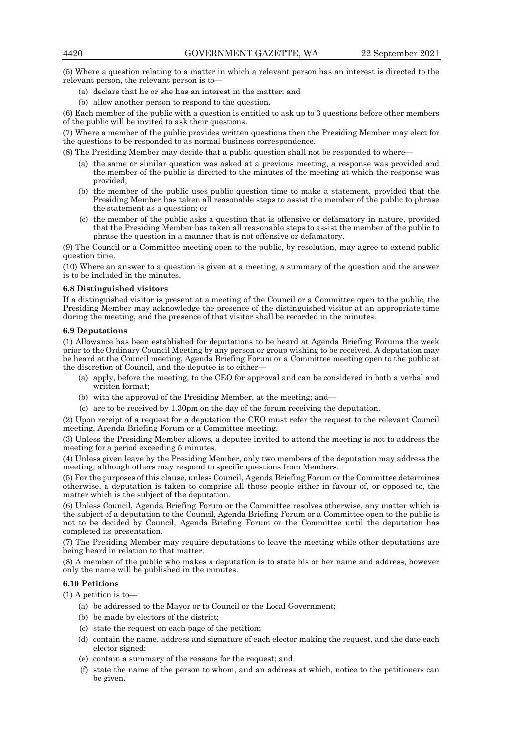(5) Where a question relating to a matter in which a relevant person has an interest is directed to the relevant person, the relevant person is to—

- (a) declare that he or she has an interest in the matter; and
- (b) allow another person to respond to the question.

(6) Each member of the public with a question is entitled to ask up to 3 questions before other members of the public will be invited to ask their questions.

(7) Where a member of the public provides written questions then the Presiding Member may elect for the questions to be responded to as normal business correspondence.

(8) The Presiding Member may decide that a public question shall not be responded to where—

- (a) the same or similar question was asked at a previous meeting, a response was provided and the member of the public is directed to the minutes of the meeting at which the response was provided;
- (b) the member of the public uses public question time to make a statement, provided that the Presiding Member has taken all reasonable steps to assist the member of the public to phrase the statement as a question; or
- (c) the member of the public asks a question that is offensive or defamatory in nature, provided that the Presiding Member has taken all reasonable steps to assist the member of the public to phrase the question in a manner that is not offensive or defamatory.

(9) The Council or a Committee meeting open to the public, by resolution, may agree to extend public question time.

(10) Where an answer to a question is given at a meeting, a summary of the question and the answer is to be included in the minutes.

#### **6.8 Distinguished visitors**

If a distinguished visitor is present at a meeting of the Council or a Committee open to the public, the Presiding Member may acknowledge the presence of the distinguished visitor at an appropriate time during the meeting, and the presence of that visitor shall be recorded in the minutes.

## **6.9 Deputations**

(1) Allowance has been established for deputations to be heard at Agenda Briefing Forums the week prior to the Ordinary Council Meeting by any person or group wishing to be received. A deputation may be heard at the Council meeting, Agenda Briefing Forum or a Committee meeting open to the public at the discretion of Council, and the deputee is to either—

- (a) apply, before the meeting, to the CEO for approval and can be considered in both a verbal and written format;
- (b) with the approval of the Presiding Member, at the meeting; and—
- (c) are to be received by 1.30pm on the day of the forum receiving the deputation.

(2) Upon receipt of a request for a deputation the CEO must refer the request to the relevant Council meeting, Agenda Briefing Forum or a Committee meeting.

(3) Unless the Presiding Member allows, a deputee invited to attend the meeting is not to address the meeting for a period exceeding 5 minutes.

(4) Unless given leave by the Presiding Member, only two members of the deputation may address the meeting, although others may respond to specific questions from Members.

(5) For the purposes of this clause, unless Council, Agenda Briefing Forum or the Committee determines otherwise, a deputation is taken to comprise all those people either in favour of, or opposed to, the matter which is the subject of the deputation.

(6) Unless Council, Agenda Briefing Forum or the Committee resolves otherwise, any matter which is the subject of a deputation to the Council, Agenda Briefing Forum or a Committee open to the public is not to be decided by Council, Agenda Briefing Forum or the Committee until the deputation has completed its presentation.

(7) The Presiding Member may require deputations to leave the meeting while other deputations are being heard in relation to that matter.

(8) A member of the public who makes a deputation is to state his or her name and address, however only the name will be published in the minutes.

# **6.10 Petitions**

(1) A petition is to—

- (a) be addressed to the Mayor or to Council or the Local Government;
- (b) be made by electors of the district;
- (c) state the request on each page of the petition;
- (d) contain the name, address and signature of each elector making the request, and the date each elector signed;
- (e) contain a summary of the reasons for the request; and
- (f) state the name of the person to whom, and an address at which, notice to the petitioners can be given.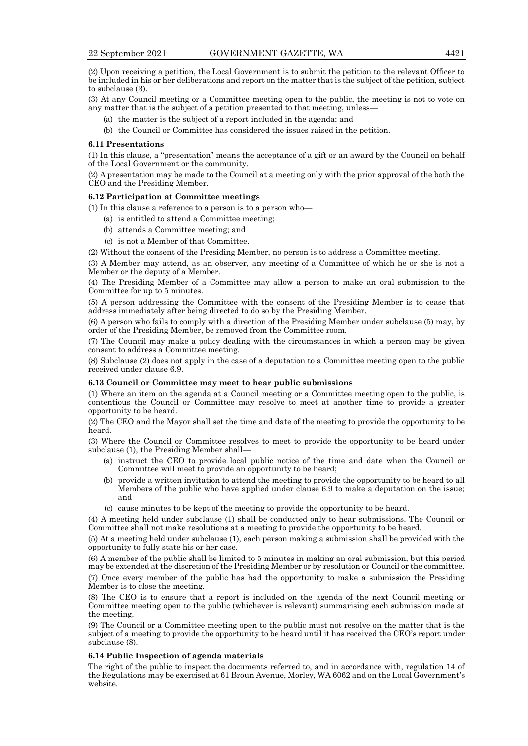(2) Upon receiving a petition, the Local Government is to submit the petition to the relevant Officer to be included in his or her deliberations and report on the matter that is the subject of the petition, subject to subclause (3).

(3) At any Council meeting or a Committee meeting open to the public, the meeting is not to vote on any matter that is the subject of a petition presented to that meeting, unless—

- (a) the matter is the subject of a report included in the agenda; and
- (b) the Council or Committee has considered the issues raised in the petition.

#### **6.11 Presentations**

(1) In this clause, a "presentation" means the acceptance of a gift or an award by the Council on behalf of the Local Government or the community.

(2) A presentation may be made to the Council at a meeting only with the prior approval of the both the CEO and the Presiding Member.

#### **6.12 Participation at Committee meetings**

(1) In this clause a reference to a person is to a person who—

- (a) is entitled to attend a Committee meeting;
- (b) attends a Committee meeting; and
- (c) is not a Member of that Committee.

(2) Without the consent of the Presiding Member, no person is to address a Committee meeting.

(3) A Member may attend, as an observer, any meeting of a Committee of which he or she is not a Member or the deputy of a Member.

(4) The Presiding Member of a Committee may allow a person to make an oral submission to the Committee for up to 5 minutes.

(5) A person addressing the Committee with the consent of the Presiding Member is to cease that address immediately after being directed to do so by the Presiding Member.

(6) A person who fails to comply with a direction of the Presiding Member under subclause (5) may, by order of the Presiding Member, be removed from the Committee room.

(7) The Council may make a policy dealing with the circumstances in which a person may be given consent to address a Committee meeting.

(8) Subclause (2) does not apply in the case of a deputation to a Committee meeting open to the public received under clause 6.9.

#### **6.13 Council or Committee may meet to hear public submissions**

(1) Where an item on the agenda at a Council meeting or a Committee meeting open to the public, is contentious the Council or Committee may resolve to meet at another time to provide a greater opportunity to be heard.

(2) The CEO and the Mayor shall set the time and date of the meeting to provide the opportunity to be heard.

(3) Where the Council or Committee resolves to meet to provide the opportunity to be heard under subclause (1), the Presiding Member shall—

- (a) instruct the CEO to provide local public notice of the time and date when the Council or Committee will meet to provide an opportunity to be heard;
- (b) provide a written invitation to attend the meeting to provide the opportunity to be heard to all Members of the public who have applied under clause 6.9 to make a deputation on the issue; and
- (c) cause minutes to be kept of the meeting to provide the opportunity to be heard.

(4) A meeting held under subclause (1) shall be conducted only to hear submissions. The Council or Committee shall not make resolutions at a meeting to provide the opportunity to be heard.

(5) At a meeting held under subclause (1), each person making a submission shall be provided with the opportunity to fully state his or her case.

(6) A member of the public shall be limited to 5 minutes in making an oral submission, but this period may be extended at the discretion of the Presiding Member or by resolution or Council or the committee.

(7) Once every member of the public has had the opportunity to make a submission the Presiding Member is to close the meeting.

(8) The CEO is to ensure that a report is included on the agenda of the next Council meeting or Committee meeting open to the public (whichever is relevant) summarising each submission made at the meeting.

(9) The Council or a Committee meeting open to the public must not resolve on the matter that is the subject of a meeting to provide the opportunity to be heard until it has received the CEO's report under subclause (8).

#### **6.14 Public Inspection of agenda materials**

The right of the public to inspect the documents referred to, and in accordance with, regulation 14 of the Regulations may be exercised at 61 Broun Avenue, Morley, WA 6062 and on the Local Government's website.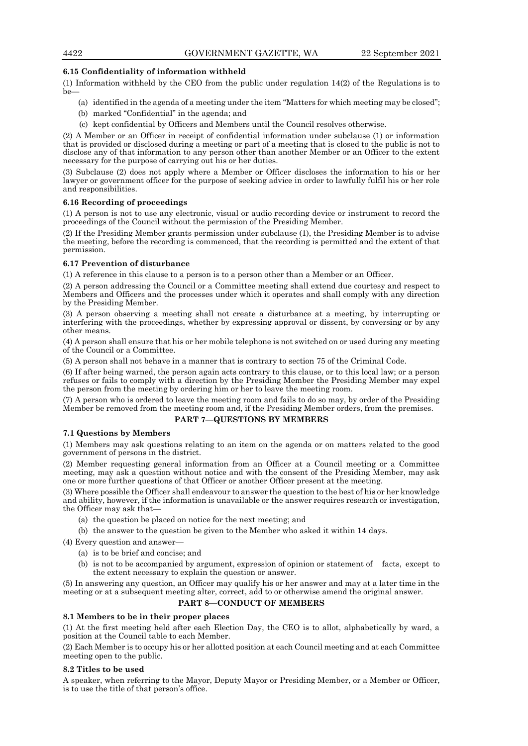# **6.15 Confidentiality of information withheld**

(1) Information withheld by the CEO from the public under regulation 14(2) of the Regulations is to be—

- (a) identified in the agenda of a meeting under the item "Matters for which meeting may be closed";
- (b) marked "Confidential" in the agenda; and
- (c) kept confidential by Officers and Members until the Council resolves otherwise.

(2) A Member or an Officer in receipt of confidential information under subclause (1) or information that is provided or disclosed during a meeting or part of a meeting that is closed to the public is not to disclose any of that information to any person other than another Member or an Officer to the extent necessary for the purpose of carrying out his or her duties.

(3) Subclause (2) does not apply where a Member or Officer discloses the information to his or her lawyer or government officer for the purpose of seeking advice in order to lawfully fulfil his or her role and responsibilities.

# **6.16 Recording of proceedings**

(1) A person is not to use any electronic, visual or audio recording device or instrument to record the proceedings of the Council without the permission of the Presiding Member.

(2) If the Presiding Member grants permission under subclause (1), the Presiding Member is to advise the meeting, before the recording is commenced, that the recording is permitted and the extent of that permission.

# **6.17 Prevention of disturbance**

(1) A reference in this clause to a person is to a person other than a Member or an Officer.

(2) A person addressing the Council or a Committee meeting shall extend due courtesy and respect to Members and Officers and the processes under which it operates and shall comply with any direction by the Presiding Member.

(3) A person observing a meeting shall not create a disturbance at a meeting, by interrupting or interfering with the proceedings, whether by expressing approval or dissent, by conversing or by any other means.

(4) A person shall ensure that his or her mobile telephone is not switched on or used during any meeting of the Council or a Committee.

(5) A person shall not behave in a manner that is contrary to section 75 of the Criminal Code.

(6) If after being warned, the person again acts contrary to this clause, or to this local law; or a person refuses or fails to comply with a direction by the Presiding Member the Presiding Member may expel the person from the meeting by ordering him or her to leave the meeting room.

(7) A person who is ordered to leave the meeting room and fails to do so may, by order of the Presiding Member be removed from the meeting room and, if the Presiding Member orders, from the premises.

# **PART 7—QUESTIONS BY MEMBERS**

# **7.1 Questions by Members**

(1) Members may ask questions relating to an item on the agenda or on matters related to the good government of persons in the district.

(2) Member requesting general information from an Officer at a Council meeting or a Committee meeting, may ask a question without notice and with the consent of the Presiding Member, may ask one or more further questions of that Officer or another Officer present at the meeting.

(3) Where possible the Officer shall endeavour to answer the question to the best of his or her knowledge and ability, however, if the information is unavailable or the answer requires research or investigation, the Officer may ask that—

- (a) the question be placed on notice for the next meeting; and
- (b) the answer to the question be given to the Member who asked it within 14 days.

(4) Every question and answer—

- (a) is to be brief and concise; and
- (b) is not to be accompanied by argument, expression of opinion or statement of facts, except to the extent necessary to explain the question or answer.

(5) In answering any question, an Officer may qualify his or her answer and may at a later time in the meeting or at a subsequent meeting alter, correct, add to or otherwise amend the original answer.

# **PART 8—CONDUCT OF MEMBERS**

# **8.1 Members to be in their proper places**

(1) At the first meeting held after each Election Day, the CEO is to allot, alphabetically by ward, a position at the Council table to each Member.

(2) Each Member is to occupy his or her allotted position at each Council meeting and at each Committee meeting open to the public.

# **8.2 Titles to be used**

A speaker, when referring to the Mayor, Deputy Mayor or Presiding Member, or a Member or Officer, is to use the title of that person's office.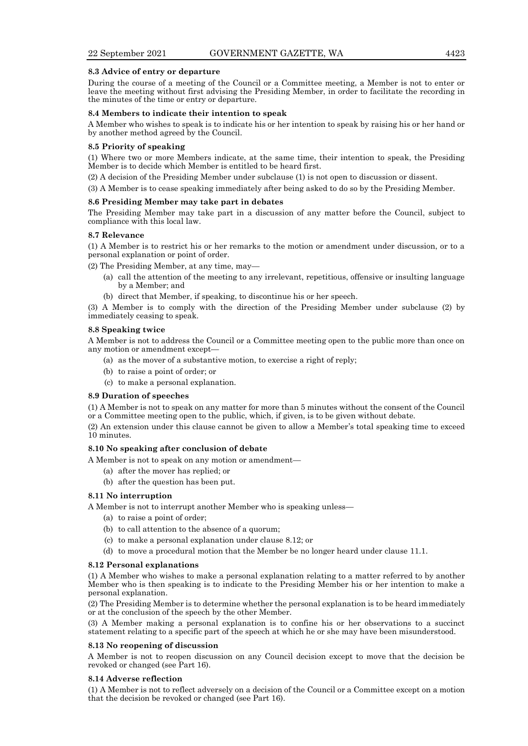#### **8.3 Advice of entry or departure**

During the course of a meeting of the Council or a Committee meeting, a Member is not to enter or leave the meeting without first advising the Presiding Member, in order to facilitate the recording in the minutes of the time or entry or departure.

#### **8.4 Members to indicate their intention to speak**

A Member who wishes to speak is to indicate his or her intention to speak by raising his or her hand or by another method agreed by the Council.

#### **8.5 Priority of speaking**

(1) Where two or more Members indicate, at the same time, their intention to speak, the Presiding Member is to decide which Member is entitled to be heard first.

(2) A decision of the Presiding Member under subclause (1) is not open to discussion or dissent.

(3) A Member is to cease speaking immediately after being asked to do so by the Presiding Member.

## **8.6 Presiding Member may take part in debates**

The Presiding Member may take part in a discussion of any matter before the Council, subject to compliance with this local law.

#### **8.7 Relevance**

(1) A Member is to restrict his or her remarks to the motion or amendment under discussion, or to a personal explanation or point of order.

(2) The Presiding Member, at any time, may—

- (a) call the attention of the meeting to any irrelevant, repetitious, offensive or insulting language by a Member; and
- (b) direct that Member, if speaking, to discontinue his or her speech.

(3) A Member is to comply with the direction of the Presiding Member under subclause (2) by immediately ceasing to speak.

#### **8.8 Speaking twice**

A Member is not to address the Council or a Committee meeting open to the public more than once on any motion or amendment except—

- (a) as the mover of a substantive motion, to exercise a right of reply;
- (b) to raise a point of order; or
- (c) to make a personal explanation.

#### **8.9 Duration of speeches**

(1) A Member is not to speak on any matter for more than 5 minutes without the consent of the Council or a Committee meeting open to the public, which, if given, is to be given without debate.

(2) An extension under this clause cannot be given to allow a Member's total speaking time to exceed 10 minutes.

#### **8.10 No speaking after conclusion of debate**

A Member is not to speak on any motion or amendment—

- (a) after the mover has replied; or
- (b) after the question has been put.

## **8.11 No interruption**

A Member is not to interrupt another Member who is speaking unless—

- (a) to raise a point of order;
- (b) to call attention to the absence of a quorum;
- (c) to make a personal explanation under clause 8.12; or
- (d) to move a procedural motion that the Member be no longer heard under clause 11.1.

#### **8.12 Personal explanations**

(1) A Member who wishes to make a personal explanation relating to a matter referred to by another Member who is then speaking is to indicate to the Presiding Member his or her intention to make a personal explanation.

(2) The Presiding Member is to determine whether the personal explanation is to be heard immediately or at the conclusion of the speech by the other Member.

(3) A Member making a personal explanation is to confine his or her observations to a succinct statement relating to a specific part of the speech at which he or she may have been misunderstood.

#### **8.13 No reopening of discussion**

A Member is not to reopen discussion on any Council decision except to move that the decision be revoked or changed (see Part 16).

#### **8.14 Adverse reflection**

(1) A Member is not to reflect adversely on a decision of the Council or a Committee except on a motion that the decision be revoked or changed (see Part 16).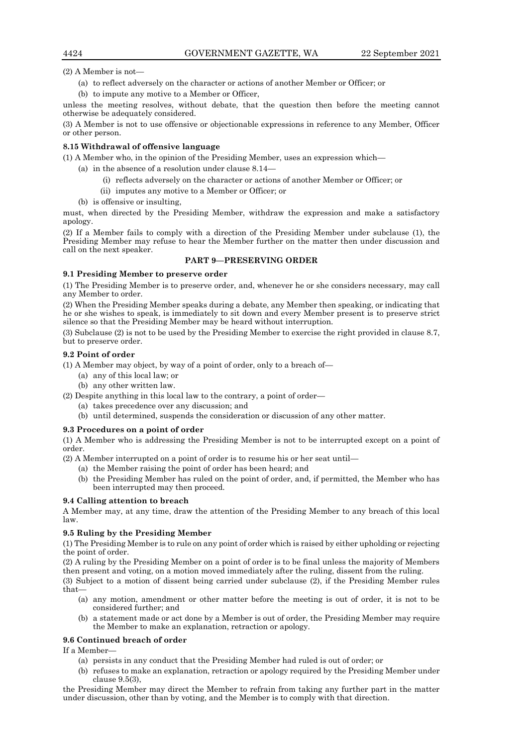(2) A Member is not—

- (a) to reflect adversely on the character or actions of another Member or Officer; or
- (b) to impute any motive to a Member or Officer,

unless the meeting resolves, without debate, that the question then before the meeting cannot otherwise be adequately considered.

(3) A Member is not to use offensive or objectionable expressions in reference to any Member, Officer or other person.

## **8.15 Withdrawal of offensive language**

(1) A Member who, in the opinion of the Presiding Member, uses an expression which—

- (a) in the absence of a resolution under clause 8.14—
	- (i) reflects adversely on the character or actions of another Member or Officer; or
	- (ii) imputes any motive to a Member or Officer; or
- (b) is offensive or insulting,

must, when directed by the Presiding Member, withdraw the expression and make a satisfactory apology.

(2) If a Member fails to comply with a direction of the Presiding Member under subclause (1), the Presiding Member may refuse to hear the Member further on the matter then under discussion and call on the next speaker.

# **PART 9—PRESERVING ORDER**

## **9.1 Presiding Member to preserve order**

(1) The Presiding Member is to preserve order, and, whenever he or she considers necessary, may call any Member to order.

(2) When the Presiding Member speaks during a debate, any Member then speaking, or indicating that he or she wishes to speak, is immediately to sit down and every Member present is to preserve strict silence so that the Presiding Member may be heard without interruption.

(3) Subclause (2) is not to be used by the Presiding Member to exercise the right provided in clause 8.7, but to preserve order.

## **9.2 Point of order**

(1) A Member may object, by way of a point of order, only to a breach of—

- (a) any of this local law; or
- (b) any other written law.

(2) Despite anything in this local law to the contrary, a point of order—

- (a) takes precedence over any discussion; and
- (b) until determined, suspends the consideration or discussion of any other matter.

## **9.3 Procedures on a point of order**

(1) A Member who is addressing the Presiding Member is not to be interrupted except on a point of order.

(2) A Member interrupted on a point of order is to resume his or her seat until—

- (a) the Member raising the point of order has been heard; and
- (b) the Presiding Member has ruled on the point of order, and, if permitted, the Member who has been interrupted may then proceed.

# **9.4 Calling attention to breach**

A Member may, at any time, draw the attention of the Presiding Member to any breach of this local law.

# **9.5 Ruling by the Presiding Member**

(1) The Presiding Member is to rule on any point of order which is raised by either upholding or rejecting the point of order.

(2) A ruling by the Presiding Member on a point of order is to be final unless the majority of Members then present and voting, on a motion moved immediately after the ruling, dissent from the ruling.

(3) Subject to a motion of dissent being carried under subclause (2), if the Presiding Member rules that—

- (a) any motion, amendment or other matter before the meeting is out of order, it is not to be considered further; and
- (b) a statement made or act done by a Member is out of order, the Presiding Member may require the Member to make an explanation, retraction or apology.

# **9.6 Continued breach of order**

If a Member—

- (a) persists in any conduct that the Presiding Member had ruled is out of order; or
- (b) refuses to make an explanation, retraction or apology required by the Presiding Member under clause 9.5(3),

the Presiding Member may direct the Member to refrain from taking any further part in the matter under discussion, other than by voting, and the Member is to comply with that direction.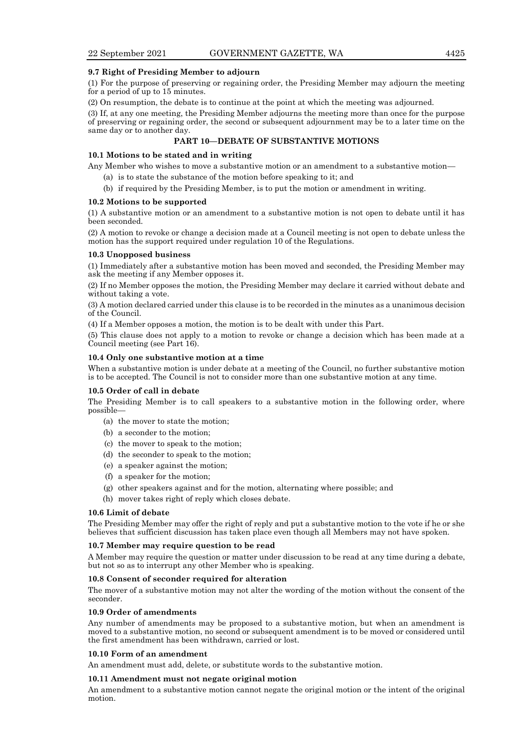#### **9.7 Right of Presiding Member to adjourn**

(1) For the purpose of preserving or regaining order, the Presiding Member may adjourn the meeting for a period of up to 15 minutes.

(2) On resumption, the debate is to continue at the point at which the meeting was adjourned.

(3) If, at any one meeting, the Presiding Member adjourns the meeting more than once for the purpose of preserving or regaining order, the second or subsequent adjournment may be to a later time on the same day or to another day.

# **PART 10—DEBATE OF SUBSTANTIVE MOTIONS**

## **10.1 Motions to be stated and in writing**

Any Member who wishes to move a substantive motion or an amendment to a substantive motion—

- (a) is to state the substance of the motion before speaking to it; and
- (b) if required by the Presiding Member, is to put the motion or amendment in writing.

#### **10.2 Motions to be supported**

(1) A substantive motion or an amendment to a substantive motion is not open to debate until it has been seconded.

(2) A motion to revoke or change a decision made at a Council meeting is not open to debate unless the motion has the support required under regulation 10 of the Regulations.

#### **10.3 Unopposed business**

(1) Immediately after a substantive motion has been moved and seconded, the Presiding Member may ask the meeting if any Member opposes it.

(2) If no Member opposes the motion, the Presiding Member may declare it carried without debate and without taking a vote.

(3) A motion declared carried under this clause is to be recorded in the minutes as a unanimous decision of the Council.

(4) If a Member opposes a motion, the motion is to be dealt with under this Part.

(5) This clause does not apply to a motion to revoke or change a decision which has been made at a Council meeting (see Part 16).

# **10.4 Only one substantive motion at a time**

When a substantive motion is under debate at a meeting of the Council, no further substantive motion is to be accepted. The Council is not to consider more than one substantive motion at any time.

#### **10.5 Order of call in debate**

The Presiding Member is to call speakers to a substantive motion in the following order, where possible—

- (a) the mover to state the motion;
- (b) a seconder to the motion;
- (c) the mover to speak to the motion;
- (d) the seconder to speak to the motion;
- (e) a speaker against the motion;
- (f) a speaker for the motion;
- (g) other speakers against and for the motion, alternating where possible; and
- (h) mover takes right of reply which closes debate.

#### **10.6 Limit of debate**

The Presiding Member may offer the right of reply and put a substantive motion to the vote if he or she believes that sufficient discussion has taken place even though all Members may not have spoken.

#### **10.7 Member may require question to be read**

A Member may require the question or matter under discussion to be read at any time during a debate, but not so as to interrupt any other Member who is speaking.

# **10.8 Consent of seconder required for alteration**

The mover of a substantive motion may not alter the wording of the motion without the consent of the seconder.

#### **10.9 Order of amendments**

Any number of amendments may be proposed to a substantive motion, but when an amendment is moved to a substantive motion, no second or subsequent amendment is to be moved or considered until the first amendment has been withdrawn, carried or lost.

## **10.10 Form of an amendment**

An amendment must add, delete, or substitute words to the substantive motion.

## **10.11 Amendment must not negate original motion**

An amendment to a substantive motion cannot negate the original motion or the intent of the original motion.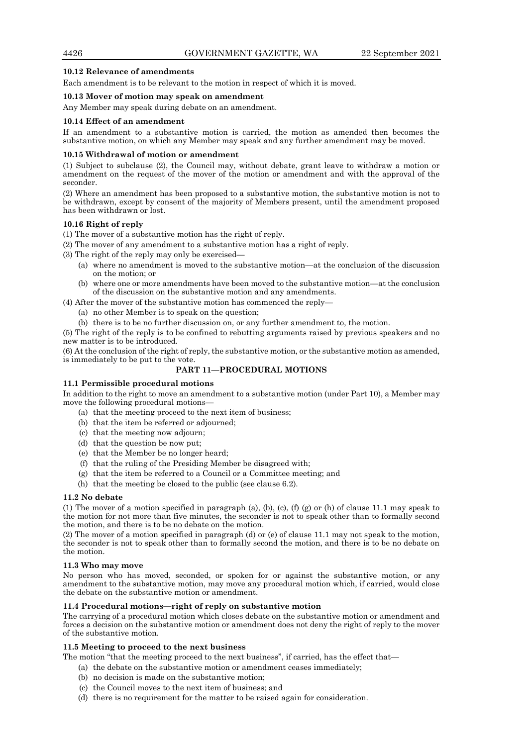# **10.12 Relevance of amendments**

Each amendment is to be relevant to the motion in respect of which it is moved.

# **10.13 Mover of motion may speak on amendment**

Any Member may speak during debate on an amendment.

# **10.14 Effect of an amendment**

If an amendment to a substantive motion is carried, the motion as amended then becomes the substantive motion, on which any Member may speak and any further amendment may be moved.

## **10.15 Withdrawal of motion or amendment**

(1) Subject to subclause (2), the Council may, without debate, grant leave to withdraw a motion or amendment on the request of the mover of the motion or amendment and with the approval of the seconder.

(2) Where an amendment has been proposed to a substantive motion, the substantive motion is not to be withdrawn, except by consent of the majority of Members present, until the amendment proposed has been withdrawn or lost.

# **10.16 Right of reply**

(1) The mover of a substantive motion has the right of reply.

(2) The mover of any amendment to a substantive motion has a right of reply.

(3) The right of the reply may only be exercised—

- (a) where no amendment is moved to the substantive motion—at the conclusion of the discussion on the motion; or
- (b) where one or more amendments have been moved to the substantive motion—at the conclusion of the discussion on the substantive motion and any amendments.

(4) After the mover of the substantive motion has commenced the reply—

- (a) no other Member is to speak on the question;
- (b) there is to be no further discussion on, or any further amendment to, the motion.

(5) The right of the reply is to be confined to rebutting arguments raised by previous speakers and no new matter is to be introduced.

(6) At the conclusion of the right of reply, the substantive motion, or the substantive motion as amended, is immediately to be put to the vote.

# **PART 11—PROCEDURAL MOTIONS**

# **11.1 Permissible procedural motions**

In addition to the right to move an amendment to a substantive motion (under Part 10), a Member may move the following procedural motions—

- (a) that the meeting proceed to the next item of business;
- (b) that the item be referred or adjourned;
- (c) that the meeting now adjourn;
- (d) that the question be now put;
- (e) that the Member be no longer heard;
- (f) that the ruling of the Presiding Member be disagreed with;
- (g) that the item be referred to a Council or a Committee meeting; and
- (h) that the meeting be closed to the public (see clause 6.2).

## **11.2 No debate**

(1) The mover of a motion specified in paragraph (a), (b), (c), (f) (g) or (h) of clause 11.1 may speak to the motion for not more than five minutes, the seconder is not to speak other than to formally second the motion, and there is to be no debate on the motion.

(2) The mover of a motion specified in paragraph (d) or (e) of clause 11.1 may not speak to the motion, the seconder is not to speak other than to formally second the motion, and there is to be no debate on the motion.

# **11.3 Who may move**

No person who has moved, seconded, or spoken for or against the substantive motion, or any amendment to the substantive motion, may move any procedural motion which, if carried, would close the debate on the substantive motion or amendment.

# **11.4 Procedural motions—right of reply on substantive motion**

The carrying of a procedural motion which closes debate on the substantive motion or amendment and forces a decision on the substantive motion or amendment does not deny the right of reply to the mover of the substantive motion.

# **11.5 Meeting to proceed to the next business**

The motion "that the meeting proceed to the next business", if carried, has the effect that—

- (a) the debate on the substantive motion or amendment ceases immediately;
- (b) no decision is made on the substantive motion;
- (c) the Council moves to the next item of business; and
- (d) there is no requirement for the matter to be raised again for consideration.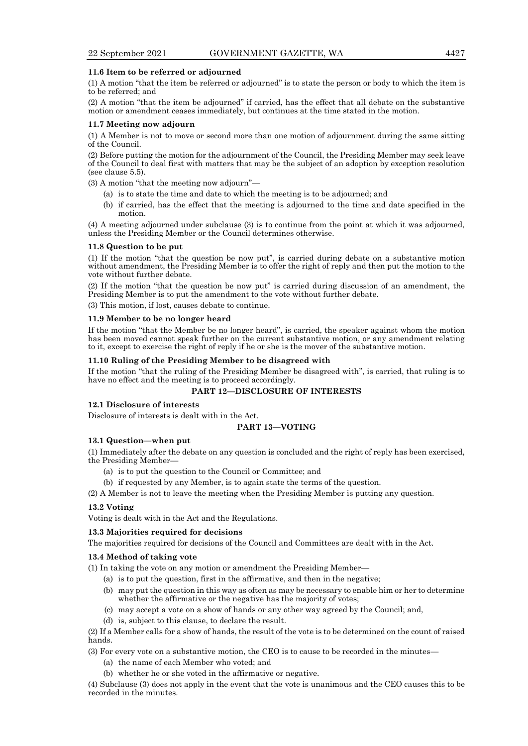#### **11.6 Item to be referred or adjourned**

(1) A motion "that the item be referred or adjourned" is to state the person or body to which the item is to be referred; and

(2) A motion "that the item be adjourned" if carried, has the effect that all debate on the substantive motion or amendment ceases immediately, but continues at the time stated in the motion.

#### **11.7 Meeting now adjourn**

(1) A Member is not to move or second more than one motion of adjournment during the same sitting of the Council.

(2) Before putting the motion for the adjournment of the Council, the Presiding Member may seek leave of the Council to deal first with matters that may be the subject of an adoption by exception resolution (see clause 5.5).

(3) A motion "that the meeting now adjourn"—

- (a) is to state the time and date to which the meeting is to be adjourned; and
- (b) if carried, has the effect that the meeting is adjourned to the time and date specified in the motion.

(4) A meeting adjourned under subclause (3) is to continue from the point at which it was adjourned, unless the Presiding Member or the Council determines otherwise.

#### **11.8 Question to be put**

(1) If the motion "that the question be now put", is carried during debate on a substantive motion without amendment, the Presiding Member is to offer the right of reply and then put the motion to the vote without further debate.

(2) If the motion "that the question be now put" is carried during discussion of an amendment, the Presiding Member is to put the amendment to the vote without further debate.

(3) This motion, if lost, causes debate to continue.

#### **11.9 Member to be no longer heard**

If the motion "that the Member be no longer heard", is carried, the speaker against whom the motion has been moved cannot speak further on the current substantive motion, or any amendment relating to it, except to exercise the right of reply if he or she is the mover of the substantive motion.

#### **11.10 Ruling of the Presiding Member to be disagreed with**

If the motion "that the ruling of the Presiding Member be disagreed with", is carried, that ruling is to have no effect and the meeting is to proceed accordingly.

## **PART 12—DISCLOSURE OF INTERESTS**

## **12.1 Disclosure of interests**

Disclosure of interests is dealt with in the Act.

#### **PART 13—VOTING**

## **13.1 Question—when put**

(1) Immediately after the debate on any question is concluded and the right of reply has been exercised, the Presiding Member—

- (a) is to put the question to the Council or Committee; and
- (b) if requested by any Member, is to again state the terms of the question.
- (2) A Member is not to leave the meeting when the Presiding Member is putting any question.

#### **13.2 Voting**

Voting is dealt with in the Act and the Regulations.

#### **13.3 Majorities required for decisions**

The majorities required for decisions of the Council and Committees are dealt with in the Act.

# **13.4 Method of taking vote**

(1) In taking the vote on any motion or amendment the Presiding Member—

- (a) is to put the question, first in the affirmative, and then in the negative;
- (b) may put the question in this way as often as may be necessary to enable him or her to determine whether the affirmative or the negative has the majority of votes;
- (c) may accept a vote on a show of hands or any other way agreed by the Council; and,
- (d) is, subject to this clause, to declare the result.

(2) If a Member calls for a show of hands, the result of the vote is to be determined on the count of raised hands.

- (3) For every vote on a substantive motion, the CEO is to cause to be recorded in the minutes—
	- (a) the name of each Member who voted; and
	- (b) whether he or she voted in the affirmative or negative.

(4) Subclause (3) does not apply in the event that the vote is unanimous and the CEO causes this to be recorded in the minutes.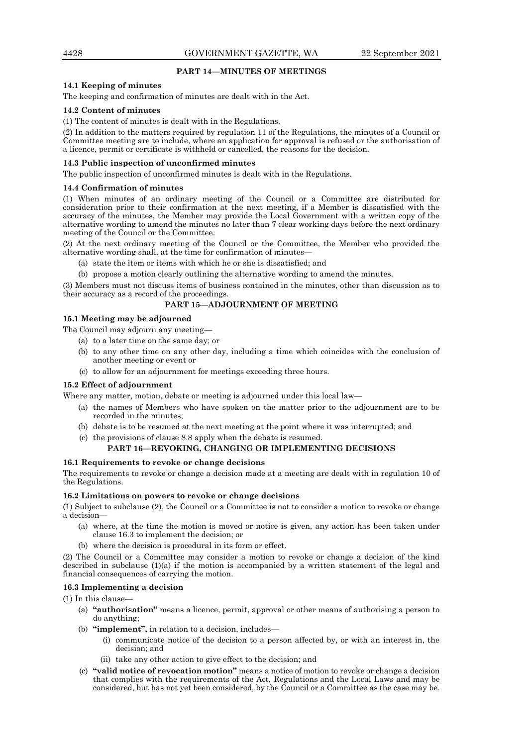# **PART 14—MINUTES OF MEETINGS**

# **14.1 Keeping of minutes**

The keeping and confirmation of minutes are dealt with in the Act.

## **14.2 Content of minutes**

(1) The content of minutes is dealt with in the Regulations.

(2) In addition to the matters required by regulation 11 of the Regulations, the minutes of a Council or Committee meeting are to include, where an application for approval is refused or the authorisation of a licence, permit or certificate is withheld or cancelled, the reasons for the decision.

## **14.3 Public inspection of unconfirmed minutes**

The public inspection of unconfirmed minutes is dealt with in the Regulations.

#### **14.4 Confirmation of minutes**

(1) When minutes of an ordinary meeting of the Council or a Committee are distributed for consideration prior to their confirmation at the next meeting, if a Member is dissatisfied with the accuracy of the minutes, the Member may provide the Local Government with a written copy of the alternative wording to amend the minutes no later than 7 clear working days before the next ordinary meeting of the Council or the Committee.

(2) At the next ordinary meeting of the Council or the Committee, the Member who provided the alternative wording shall, at the time for confirmation of minutes—

- a) state the item or items with which he or she is dissatisfied; and
- (b) propose a motion clearly outlining the alternative wording to amend the minutes.

(3) Members must not discuss items of business contained in the minutes, other than discussion as to their accuracy as a record of the proceedings.

## **PART 15—ADJOURNMENT OF MEETING**

# **15.1 Meeting may be adjourned**

The Council may adjourn any meeting—

- (a) to a later time on the same day; or
- (b) to any other time on any other day, including a time which coincides with the conclusion of another meeting or event or
- (c) to allow for an adjournment for meetings exceeding three hours.

#### **15.2 Effect of adjournment**

Where any matter, motion, debate or meeting is adjourned under this local law—

- (a) the names of Members who have spoken on the matter prior to the adjournment are to be recorded in the minutes;
- (b) debate is to be resumed at the next meeting at the point where it was interrupted; and
- (c) the provisions of clause 8.8 apply when the debate is resumed.

## **PART 16—REVOKING, CHANGING OR IMPLEMENTING DECISIONS**

#### **16.1 Requirements to revoke or change decisions**

The requirements to revoke or change a decision made at a meeting are dealt with in regulation 10 of the Regulations.

## **16.2 Limitations on powers to revoke or change decisions**

(1) Subject to subclause (2), the Council or a Committee is not to consider a motion to revoke or change a decision—

- (a) where, at the time the motion is moved or notice is given, any action has been taken under clause 16.3 to implement the decision; or
- (b) where the decision is procedural in its form or effect.

(2) The Council or a Committee may consider a motion to revoke or change a decision of the kind described in subclause (1)(a) if the motion is accompanied by a written statement of the legal and financial consequences of carrying the motion.

## **16.3 Implementing a decision**

 $(1)$  In this clause

- (a) **"authorisation"** means a licence, permit, approval or other means of authorising a person to do anything;
- (b) **"implement",** in relation to a decision, includes—
	- (i) communicate notice of the decision to a person affected by, or with an interest in, the decision; and
	- (ii) take any other action to give effect to the decision; and
- (c) **"valid notice of revocation motion"** means a notice of motion to revoke or change a decision that complies with the requirements of the Act, Regulations and the Local Laws and may be considered, but has not yet been considered, by the Council or a Committee as the case may be.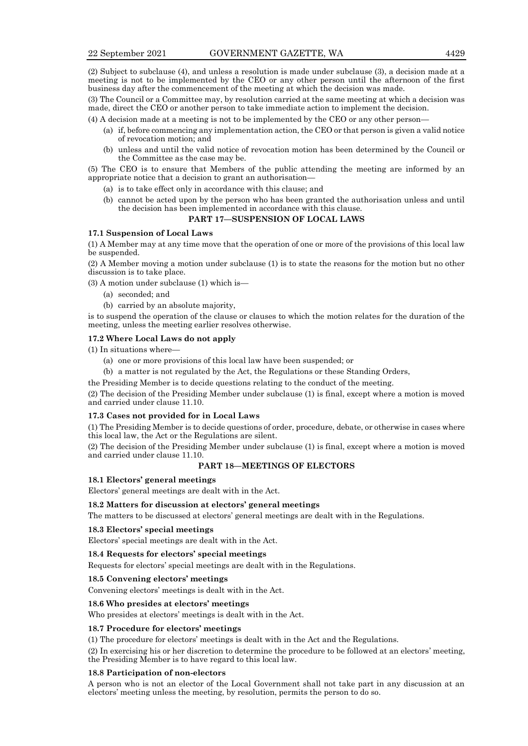(2) Subject to subclause (4), and unless a resolution is made under subclause (3), a decision made at a meeting is not to be implemented by the CEO or any other person until the afternoon of the first business day after the commencement of the meeting at which the decision was made.

(3) The Council or a Committee may, by resolution carried at the same meeting at which a decision was made, direct the CEO or another person to take immediate action to implement the decision.

(4) A decision made at a meeting is not to be implemented by the CEO or any other person—

- (a) if, before commencing any implementation action, the CEO or that person is given a valid notice of revocation motion; and
- (b) unless and until the valid notice of revocation motion has been determined by the Council or the Committee as the case may be.

(5) The CEO is to ensure that Members of the public attending the meeting are informed by an appropriate notice that a decision to grant an authorisation—

- (a) is to take effect only in accordance with this clause; and
- (b) cannot be acted upon by the person who has been granted the authorisation unless and until the decision has been implemented in accordance with this clause.

# **PART 17—SUSPENSION OF LOCAL LAWS**

# **17.1 Suspension of Local Laws**

(1) A Member may at any time move that the operation of one or more of the provisions of this local law be suspended.

(2) A Member moving a motion under subclause (1) is to state the reasons for the motion but no other discussion is to take place.

(3) A motion under subclause (1) which is—

- (a) seconded; and
- (b) carried by an absolute majority,

is to suspend the operation of the clause or clauses to which the motion relates for the duration of the meeting, unless the meeting earlier resolves otherwise.

#### **17.2 Where Local Laws do not apply**

(1) In situations where—

- (a) one or more provisions of this local law have been suspended; or
- (b) a matter is not regulated by the Act, the Regulations or these Standing Orders,
- the Presiding Member is to decide questions relating to the conduct of the meeting.

(2) The decision of the Presiding Member under subclause (1) is final, except where a motion is moved and carried under clause 11.10.

#### **17.3 Cases not provided for in Local Laws**

(1) The Presiding Member is to decide questions of order, procedure, debate, or otherwise in cases where this local law, the Act or the Regulations are silent.

(2) The decision of the Presiding Member under subclause (1) is final, except where a motion is moved and carried under clause 11.10.

# **PART 18—MEETINGS OF ELECTORS**

**18.1 Electors' general meetings**

Electors' general meetings are dealt with in the Act.

#### **18.2 Matters for discussion at electors' general meetings**

The matters to be discussed at electors' general meetings are dealt with in the Regulations.

## **18.3 Electors' special meetings**

Electors' special meetings are dealt with in the Act.

#### **18.4 Requests for electors' special meetings**

Requests for electors' special meetings are dealt with in the Regulations.

## **18.5 Convening electors' meetings**

Convening electors' meetings is dealt with in the Act.

#### **18.6 Who presides at electors' meetings**

Who presides at electors' meetings is dealt with in the Act.

#### **18.7 Procedure for electors' meetings**

(1) The procedure for electors' meetings is dealt with in the Act and the Regulations.

(2) In exercising his or her discretion to determine the procedure to be followed at an electors' meeting, the Presiding Member is to have regard to this local law.

#### **18.8 Participation of non-electors**

A person who is not an elector of the Local Government shall not take part in any discussion at an electors' meeting unless the meeting, by resolution, permits the person to do so.